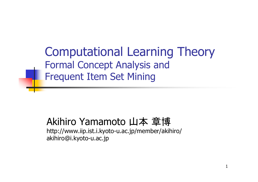Computational Learning Theory Formal Concept Analysis and Frequent Item Set Mining

#### Akihiro Yamamoto 山本 章博

http://www.iip.ist.i.kyoto-u.ac.jp/member/akihiro/ akihiro@i.kyoto-u.ac.jp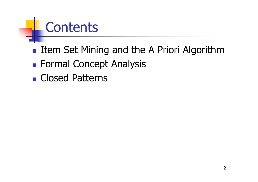# **Contents**

- **Item Set Mining and the A Priori Algorithm**
- **Formal Concept Analysis**
- **Closed Patterns**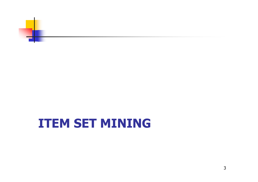

#### **ITEM SET MINING**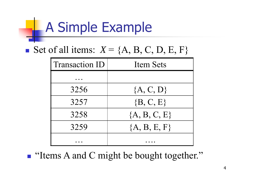# A Simple Example

Set of all items:  $X = \{A, B, C, D, E, F\}$ 

| <b>Transaction ID</b> | <b>Item Sets</b> |
|-----------------------|------------------|
|                       |                  |
| 3256                  | ${A, C, D}$      |
| 3257                  | $\{B, C, E\}$    |
| 3258                  | ${A, B, C, E}$   |
| 3259                  | ${A, B, E, F}$   |
|                       |                  |

**I** "Items A and C might be bought together."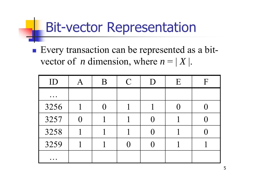## Bit-vector Representation

**Every transaction can be represented as a bit**vector of *n* dimension, where  $n = |X|$ .

| ID                                                                       | B | $\mathcal{C}$ | D                 | E | $\mathbf F$ |
|--------------------------------------------------------------------------|---|---------------|-------------------|---|-------------|
| $\bullet\hspace{0.4mm}\bullet\hspace{0.4mm}\bullet\hspace{0.4mm}\bullet$ |   |               |                   |   |             |
| 3256                                                                     |   |               |                   |   |             |
| 3257                                                                     |   |               | $\left( \right)$  |   |             |
| 3258                                                                     |   |               | $\mathbf{\Omega}$ |   |             |
| 3259                                                                     |   |               |                   |   |             |
| $\bullet\hspace{0.4mm}\bullet\hspace{0.4mm}\bullet\hspace{0.4mm}\bullet$ |   |               |                   |   |             |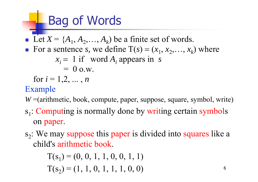# Bag of Words

Ŧ Let  $X = \{A_1, A_2, \ldots, A_k\}$  be a finite set of words. T. For a sentence *s*, we define  $T(s) = (x_1, x_2, \ldots, x_k)$  where  $x_i = 1$  if word  $A_i$  appears in *s*  $= 0$  o.w.

for  $i = 1, 2, ..., n$ 

#### Example

*W* =(arithmetic, book, compute, paper, suppose, square, symbol, write)

- s<sub>1</sub>: Computing is normally done by writing certain symbols on paper.
- $s<sub>2</sub>$ : We may suppose this paper is divided into squares like a child's arithmetic book.

 $T(s_1) = (0, 0, 1, 1, 0, 0, 1, 1)$  $T(s_2) = (1, 1, 0, 1, 1, 1, 0, 0)$  6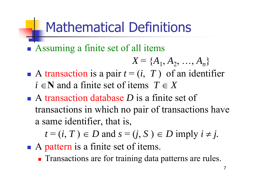# Mathematical Definitions

**Assuming a finite set of all items** 

$$
X = \{A_1, A_2, ..., A_n\}
$$

- A transaction is a pair  $t = (i, T)$  of an identifier  $i \in \mathbb{N}$  and a finite set of items  $T \in X$
- A transaction database *D* is a finite set of transactions in which no pair of transactions have a same identifier, that is,

 $t = (i, T) \in D$  and  $s = (j, S) \in D$  imply  $i \neq j$ .

- A pattern is a finite set of items.
	- **Transactions are for training data patterns are rules.**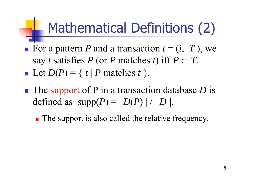# Mathematical Definitions (2)

- For a pattern P and a transaction  $t = (i, T)$ , we say *t* satisfies P (or P matches *t*) iff  $P \subset T$ .  $\blacksquare$  Let  $D(P) = \{ t \mid P \text{ matches } t \}.$
- ■ The support of P in a transaction database *D* is defined as  $supp(P) = |D(P)| / |D|$ .
	- **The support is also called the relative frequency.**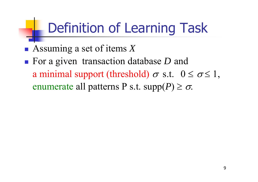# Definition of Learning Task

Assuming a set of items *X*

■ For a given transaction database *D* and a minimal support (threshold)  $\sigma$  s.t.  $0 \le \sigma \le 1$ , enumerate all patterns P s.t.  $supp(P) \geq \sigma$ .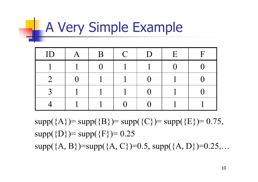# **A Very Simple Example**

| ID | B | $\mathcal{C}$ | D | E | $\boldsymbol{\mathsf{F}}$ |
|----|---|---------------|---|---|---------------------------|
|    |   |               |   |   |                           |
|    |   |               |   |   |                           |
|    |   |               |   |   |                           |
|    |   |               |   |   |                           |

 $supp({A})=supp({B})=supp({C})=supp({E})=0.75$ ,  $supp({D})=supp({F})=0.25$ supp( ${A, B}$ )=supp( ${A, C}$ )=0.5, supp( ${A, D}$ )=0.25,...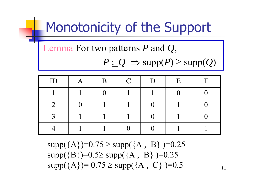# Monotonicity of the Support

Lemma For two patterns *P* and *Q*,

 $P \subseteq Q \implies \text{supp}(P) \geq \text{supp}(Q)$ 

| ID | B | $\overline{C}$ | D | E | $\mathbf F$ |
|----|---|----------------|---|---|-------------|
|    |   |                |   |   |             |
|    |   |                |   |   |             |
|    |   |                |   |   |             |
|    |   |                |   |   |             |

supp({A})=0.75 supp({A *,* B} )=0.25  $supp({B})=0.5 \geq supp({A, B})=0.25$  $supp(\{A\})=0.75 \geq supp(\{A, C\})=0.5$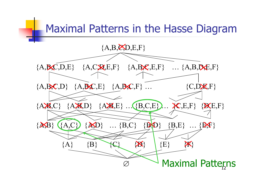# Maximal Patterns in the Hasse Diagram {A,B,C,D,E,F}  ${A, B, C, D, E}$   ${A, C, R, E, F}$   ${A, B, C, E, F}$  …  ${A, B, D, E, F}$  ${A, B, C, D}$   ${A, B, C, E}$   ${A, B, C, F}$  ...  ${C, D, E, F}$ {A,B,C} {A,B,D} {A,B,E} … {B,C,E} … {C,E,F} {D,E,F}  $\{A,B\}$   $\{A,C\}$   $\{A,D\}$  ...  $\{B,C\}$   $\{B,D\}$   $\{B,E\}$  ...  $\{B,F\}$  ${A}$   ${B}$   ${C}$   ${X}$   ${E}$   ${E}$   ${X}$  $\varnothing$ **Maximal Patterns**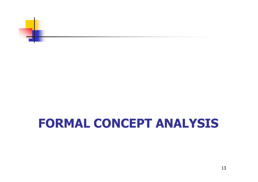

#### **FORMAL CONCEPT ANALYSIS**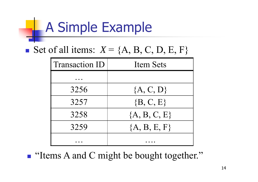# A Simple Example

Set of all items:  $X = \{A, B, C, D, E, F\}$ 

| <b>Transaction ID</b> | <b>Item Sets</b> |
|-----------------------|------------------|
|                       |                  |
| 3256                  | ${A, C, D}$      |
| 3257                  | $\{B, C, E\}$    |
| 3258                  | ${A, B, C, E}$   |
| 3259                  | ${A, B, E, F}$   |
|                       |                  |

**I** "Items A and C might be bought together."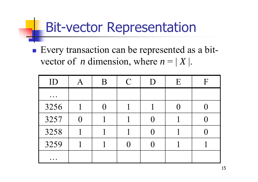## Bit-vector Representation

**Every transaction can be represented as a bit**vector of *n* dimension, where  $n = |X|$ .

| ID                                                                       | B | $\mathcal{C}$ | D                 | E | $\mathbf F$ |
|--------------------------------------------------------------------------|---|---------------|-------------------|---|-------------|
| $\bullet\hspace{0.4mm}\bullet\hspace{0.4mm}\bullet\hspace{0.4mm}\bullet$ |   |               |                   |   |             |
| 3256                                                                     |   |               |                   |   |             |
| 3257                                                                     |   |               | $\left( \right)$  |   |             |
| 3258                                                                     |   |               | $\mathbf{\Omega}$ |   |             |
| 3259                                                                     |   |               |                   |   |             |
| $\bullet\quad \bullet\quad \bullet$                                      |   |               |                   |   |             |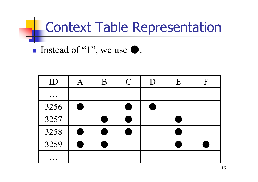# Context Table Representation

Instead of "1", we use  $\bullet$ .

| ID                                                                       | $\bm{A}$       | B  | $\mathcal{C}$ | D | E | F |
|--------------------------------------------------------------------------|----------------|----|---------------|---|---|---|
| $\bullet\hspace{0.4mm}\bullet\hspace{0.4mm}\bullet\hspace{0.4mm}\bullet$ |                |    |               |   |   |   |
| 3256                                                                     | $\blacksquare$ |    | e.            |   |   |   |
| 3257                                                                     |                | J. | e.            |   |   |   |
| 3258                                                                     | Œ              | i  | t,            |   |   |   |
| 3259                                                                     | $\blacksquare$ |    |               |   |   |   |
| $\bullet\hspace{0.4mm}\bullet\hspace{0.4mm}\bullet\hspace{0.4mm}\bullet$ |                |    |               |   |   |   |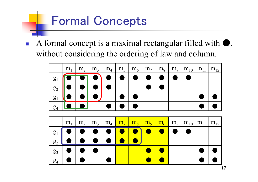#### Formal Concepts

 $\overline{\mathbb{R}^n}$ A formal concept is a maximal rectangular filled with  $\bullet$ , without considering the ordering of law and column.



|                | m <sub>1</sub> | m <sub>2</sub> |          | $m_3$   $m_4$   $m_7$   $m_8$   $m_5$   $m_6$   $m_9$   $m_{10}$   $m_{11}$   $m_{12}$ |  |  |  |
|----------------|----------------|----------------|----------|----------------------------------------------------------------------------------------|--|--|--|
| $g_1$          |                | $\bullet$ 1    |          |                                                                                        |  |  |  |
| $g_2$          | $\bullet$      |                | <b>.</b> |                                                                                        |  |  |  |
| $g_3$          |                |                |          |                                                                                        |  |  |  |
| g <sub>4</sub> |                |                |          |                                                                                        |  |  |  |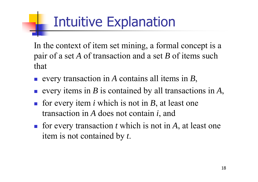# Intuitive Explanation

In the context of item set mining, a formal concept is a pair of a set *A* of transaction and a set *B* of items such that

- every transaction in *A* contains all items in *B*,
- every items in *B* is contained by all transactions in *A*,
- for every item  $i$  which is not in  $B$ , at least one transaction in *A* does not contain *i*, and
- for every transaction  $t$  which is not in  $A$ , at least one item is not contained by *t*.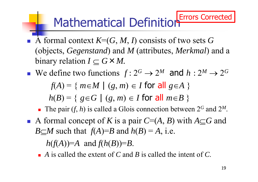#### Mathematical Definition Errors Corrected

- A formal context  $K=(G, M, I)$  consists of two sets  $G$ (objects, *Gegenstand*) and *M* (attributes, *Merkmal*) and a binary relation  $I\subseteq G\times M$ .
- We define two functions  $f: 2^G \rightarrow 2^G$  $^M$  and  $h:2^M \rightarrow 2$ *G*  $f(A) = \{ m \in M \mid (g, m) \in I \text{ for all } g \in A \}$  $h(B) = \{ g \in G \mid (g, m) \in I \text{ for all } m \in B \}$ 
	- The pair  $(f, h)$  is called a Glois connection between  $2^G$  and 2 *M*.
- A formal concept of K is a pair  $C=(A, B)$  with  $A \subseteq G$  and *B M* such that  $f(A)=B$  and  $h(B)=A$ , i.e.

 $h(f(A))=A$  and  $f(h(B))=B$ .

*A* is called the extent of *C* and *B* is called the intent of *C*.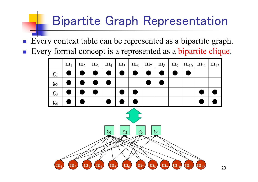### Bipartite Graph Representation

Every context table can be represented as a bipartite graph.

F Every formal concept is a represented as a bipartite clique.

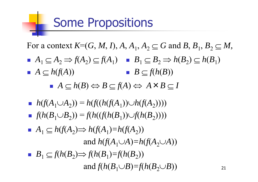#### Some Propositions

For a context  $K=(G, M, I), A, A_1, A_2 \subseteq G$  and  $B, B_1, B_2 \subseteq M$ ,

 $A_1 \subseteq A_2 \Rightarrow f(A_2) \subseteq f(A_1) \quad B_1 \subseteq B_2 \Rightarrow h(B_2) \subseteq h(B_1)$  $A \subseteq h(f(A))$ *B*  $\subseteq$   $f(h(B))$ 

■  $A ⊆ h(B)$   $\Leftrightarrow$   $B ⊆ f(A)$   $\Leftrightarrow$   $A × B ⊆ I$ 

- *h*(*f*( $A_1 \cup A_2$ )) =  $h(f((h(f(A_1)) \cup h(f(A_2))))$
- $f(h(B_1 \cup B_2)) = f(h((f(h(B_1)) \cup f(h(B_2))))$
- $\blacksquare$   $A_1 \subseteq h(f(A_2) \Rightarrow h(f(A_1) = h(f(A_2)))$ and  $h(f(A_1 \cup A) = h(f(A_2 \cup A))$ *B*<sub>1</sub>  $\subseteq$   $f(h(B_2) \Rightarrow f(h(B_1) = f(h(B_2))$ and  $f(h(B_1 \cup B)=f(h(B_2 \cup B))$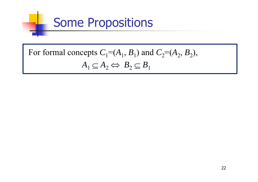

#### For formal concepts  $C_1 = (A_1, B_1)$  and  $C_2 = (A_2, B_2)$ ,  $A_1 \subseteq A_2 \Leftrightarrow B_2 \subseteq B_1$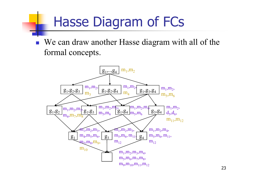# Hasse Diagram of FCs

■ We can draw another Hasse diagram with all of the formal concepts.

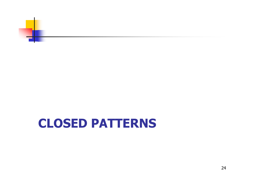

#### **CLOSED PATTERNS**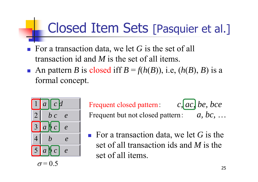## Closed Item Sets [Pasquier et al.]

- For a transaction data, we let G is the set of all transaction id and *M* is the set of all items.
- An pattern *B* is closed iff  $B = f(h(B))$ , i.e,  $(h(B), B)$  is a formal concept.



Frequent closed pattern: *c, ac, be, bce* Frequent but not closed pattern: *a, bc,*  …

■ For a transaction data, we let G is the set of all transaction ids and *M* is the set of all items.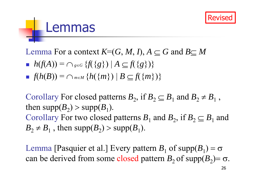

#### Lemmas

Lemma For a context  $K=(G, M, I), A \subset G$  and  $B \subset M$ 

- $h(f(A)) = \bigcap_{g \in G} \{f(\{g\}) \mid A \subseteq f(\{g\})\}$
- $f(h(B)) = \cap_{m \in M} \{h(\{m\}) \mid B \subseteq f(\{m\})\}$

Corollary For closed patterns  $B_2$ , if  $B_2 \subseteq B_1$  and  $B_2 \neq B_1$ , then  $supp(B_2)$  >  $supp(B_1)$ . Corollary For two closed patterns  $B_1$  and  $B_2$ , if  $B_2 \subseteq B_1$  and  $B_2 \neq B_1$ , then supp $(B_2)$  > supp $(B_1)$ .

Lemma [Pasquier et al.] Every pattern  $B_1$  of supp $(B_1) = \sigma$ can be derived from some closed pattern  $B_2$  of supp $(B_2)$ =  $\sigma$ .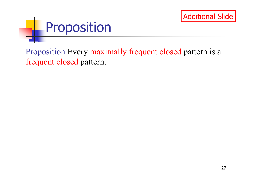



Proposition Every maximally frequent closed pattern is a frequent closed pattern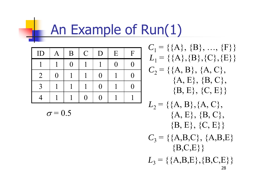## An Example of Run(1)

| ID             | A | B        | $\mathbf C$ | D                   | E        | $\mathbf{F}$ |
|----------------|---|----------|-------------|---------------------|----------|--------------|
|                |   | $\Omega$ |             |                     | $\Omega$ | ( )          |
| $\overline{2}$ | 0 |          |             | 0                   |          | ( )          |
| $\mathbf{R}$   |   |          |             | $\left( \, \right)$ |          |              |
|                |   |          | ( )         | ( )                 |          |              |

$$
\sigma\!=\!0.5
$$

 $C_1$  = {{A}, {B}, ..., {F}}  $L_1$  = {{A},{B},{C},{E}}  $C_2$  = {{A, B}, {A, C},  ${A, E}, {B, C},$  ${B, E}, {C, E}$ 

 $L_2 = \{ \{A, B\}, \{A, C\},\$  ${A, E}, {B, C},$  ${B, E}, {C, E}$  $C_3$  = {{A,B,C}, {A,B,E}  ${B, C, E}$  $L_3$  = {{A,B,E},{B,C,E}}}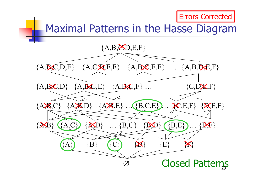

#### Maximal Patterns in the Hasse Diagram

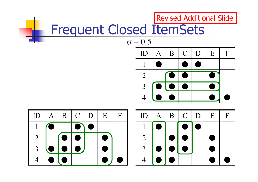#### Frequent Closed ItemSets  $ID \mid A \mid B \mid C \mid D \mid E \mid F$ 1 $1 \mid \bullet \mid \bullet \mid \bullet \mid \bullet$ 2 $2$  | (e) e | e 33 || ● || ● || ● || || ● 4 ●● ● ●  $\sigma = 0.5$  $ID \mid A \mid B \mid C \mid D \mid E \mid F$ 11 | ● | | | | ● || ● 22 | |●|●| |● 33 |● |● | ● | | ● 4 ●● ● ●  $ID \mid A \mid B \mid C \mid D \mid E \mid F$ 1 $1$  (0  $\bullet$  )  $\bullet$ 2 ●● ● 33 **0 0 0 1 0** 44 | ● | ● | | | ● *|* ● Revised Additional Slide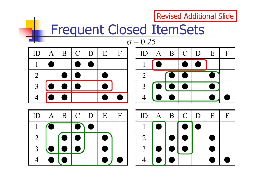**Revised Additional Slide** 

#### Frequent Closed ItemSets

| ID             | $\bm{A}$ | B              | $\mathsf{C}$   | D | E | F |
|----------------|----------|----------------|----------------|---|---|---|
|                | i        |                | e.             |   |   |   |
| $\overline{2}$ |          |                |                |   |   |   |
| $\mathbf{R}$   | a.       | $\blacksquare$ | $\blacksquare$ |   |   |   |
|                |          |                |                |   |   |   |